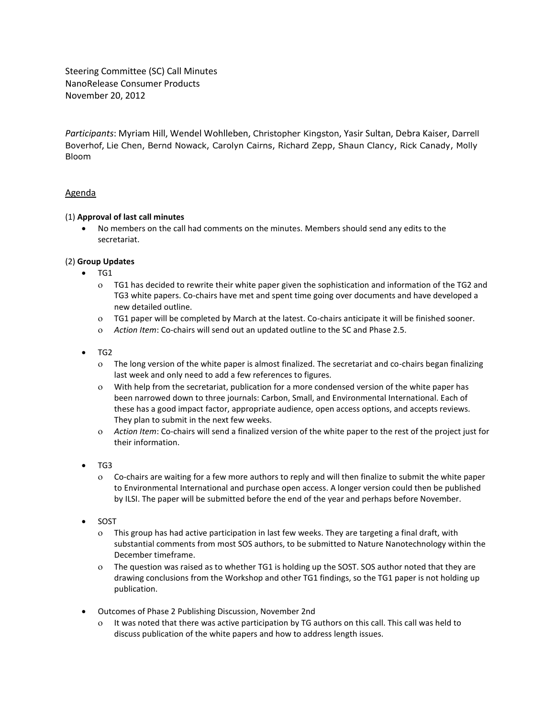Steering Committee (SC) Call Minutes NanoRelease Consumer Products November 20, 2012

*Participants*: Myriam Hill, Wendel Wohlleben, Christopher Kingston, Yasir Sultan, Debra Kaiser, Darrell Boverhof, Lie Chen, Bernd Nowack, Carolyn Cairns, Richard Zepp, Shaun Clancy, Rick Canady, Molly Bloom

# Agenda

## (1) **Approval of last call minutes**

 No members on the call had comments on the minutes. Members should send any edits to the secretariat.

## (2) **Group Updates**

- $\bullet$  TG1
	- TG1 has decided to rewrite their white paper given the sophistication and information of the TG2 and TG3 white papers. Co-chairs have met and spent time going over documents and have developed a new detailed outline.
	- TG1 paper will be completed by March at the latest. Co-chairs anticipate it will be finished sooner.
	- *Action Item*: Co-chairs will send out an updated outline to the SC and Phase 2.5.
- TG2
	- The long version of the white paper is almost finalized. The secretariat and co-chairs began finalizing last week and only need to add a few references to figures.
	- With help from the secretariat, publication for a more condensed version of the white paper has been narrowed down to three journals: Carbon, Small, and Environmental International. Each of these has a good impact factor, appropriate audience, open access options, and accepts reviews. They plan to submit in the next few weeks.
	- *Action Item*: Co-chairs will send a finalized version of the white paper to the rest of the project just for their information.
- $\bullet$  TG3
	- Co-chairs are waiting for a few more authors to reply and will then finalize to submit the white paper to Environmental International and purchase open access. A longer version could then be published by ILSI. The paper will be submitted before the end of the year and perhaps before November.
- SOST
	- This group has had active participation in last few weeks. They are targeting a final draft, with substantial comments from most SOS authors, to be submitted to Nature Nanotechnology within the December timeframe.
	- The question was raised as to whether TG1 is holding up the SOST. SOS author noted that they are drawing conclusions from the Workshop and other TG1 findings, so the TG1 paper is not holding up publication.
- Outcomes of Phase 2 Publishing Discussion, November 2nd
	- It was noted that there was active participation by TG authors on this call. This call was held to discuss publication of the white papers and how to address length issues.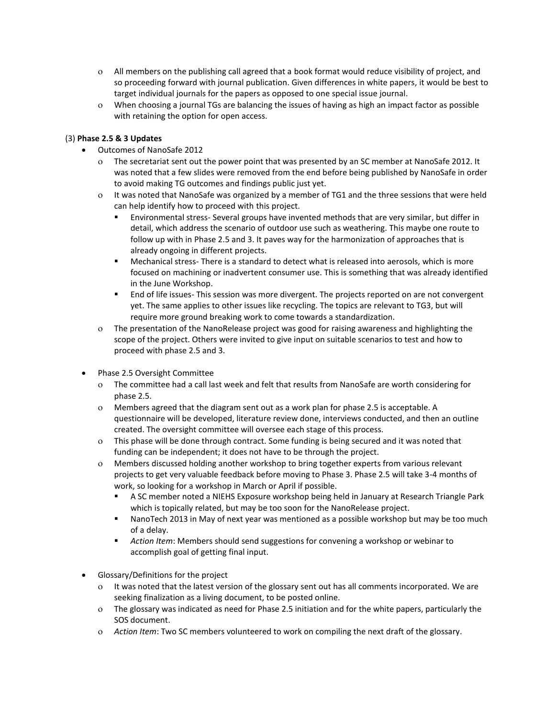- All members on the publishing call agreed that a book format would reduce visibility of project, and so proceeding forward with journal publication. Given differences in white papers, it would be best to target individual journals for the papers as opposed to one special issue journal.
- When choosing a journal TGs are balancing the issues of having as high an impact factor as possible with retaining the option for open access.

## (3) **Phase 2.5 & 3 Updates**

- Outcomes of NanoSafe 2012
	- The secretariat sent out the power point that was presented by an SC member at NanoSafe 2012. It was noted that a few slides were removed from the end before being published by NanoSafe in order to avoid making TG outcomes and findings public just yet.
	- It was noted that NanoSafe was organized by a member of TG1 and the three sessions that were held can help identify how to proceed with this project.
		- Environmental stress- Several groups have invented methods that are very similar, but differ in detail, which address the scenario of outdoor use such as weathering. This maybe one route to follow up with in Phase 2.5 and 3. It paves way for the harmonization of approaches that is already ongoing in different projects.
		- Mechanical stress- There is a standard to detect what is released into aerosols, which is more focused on machining or inadvertent consumer use. This is something that was already identified in the June Workshop.
		- End of life issues- This session was more divergent. The projects reported on are not convergent yet. The same applies to other issues like recycling. The topics are relevant to TG3, but will require more ground breaking work to come towards a standardization.
	- The presentation of the NanoRelease project was good for raising awareness and highlighting the scope of the project. Others were invited to give input on suitable scenarios to test and how to proceed with phase 2.5 and 3.
- Phase 2.5 Oversight Committee
	- The committee had a call last week and felt that results from NanoSafe are worth considering for phase 2.5.
	- Members agreed that the diagram sent out as a work plan for phase 2.5 is acceptable. A questionnaire will be developed, literature review done, interviews conducted, and then an outline created. The oversight committee will oversee each stage of this process.
	- This phase will be done through contract. Some funding is being secured and it was noted that funding can be independent; it does not have to be through the project.
	- Members discussed holding another workshop to bring together experts from various relevant projects to get very valuable feedback before moving to Phase 3. Phase 2.5 will take 3-4 months of work, so looking for a workshop in March or April if possible.
		- A SC member noted a NIEHS Exposure workshop being held in January at Research Triangle Park which is topically related, but may be too soon for the NanoRelease project.
		- NanoTech 2013 in May of next year was mentioned as a possible workshop but may be too much of a delay.
		- *Action Item*: Members should send suggestions for convening a workshop or webinar to accomplish goal of getting final input.
- Glossary/Definitions for the project
	- It was noted that the latest version of the glossary sent out has all comments incorporated. We are seeking finalization as a living document, to be posted online.
	- The glossary was indicated as need for Phase 2.5 initiation and for the white papers, particularly the SOS document.
	- *Action Item*: Two SC members volunteered to work on compiling the next draft of the glossary.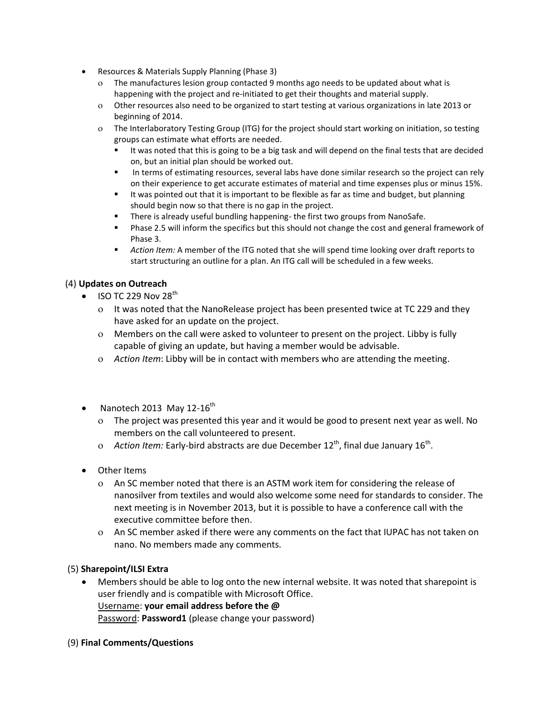- Resources & Materials Supply Planning (Phase 3)
	- The manufactures lesion group contacted 9 months ago needs to be updated about what is happening with the project and re-initiated to get their thoughts and material supply.
	- Other resources also need to be organized to start testing at various organizations in late 2013 or beginning of 2014.
	- The Interlaboratory Testing Group (ITG) for the project should start working on initiation, so testing groups can estimate what efforts are needed.
		- It was noted that this is going to be a big task and will depend on the final tests that are decided on, but an initial plan should be worked out.
		- In terms of estimating resources, several labs have done similar research so the project can rely on their experience to get accurate estimates of material and time expenses plus or minus 15%.
		- It was pointed out that it is important to be flexible as far as time and budget, but planning should begin now so that there is no gap in the project.
		- There is already useful bundling happening- the first two groups from NanoSafe.
		- **Phase 2.5 will inform the specifics but this should not change the cost and general framework of** Phase 3.
		- *Action Item:* A member of the ITG noted that she will spend time looking over draft reports to start structuring an outline for a plan. An ITG call will be scheduled in a few weeks.

# (4) **Updates on Outreach**

- $\bullet$  ISO TC 229 Nov 28<sup>th</sup>
	- It was noted that the NanoRelease project has been presented twice at TC 229 and they have asked for an update on the project.
	- Members on the call were asked to volunteer to present on the project. Libby is fully capable of giving an update, but having a member would be advisable.
	- *Action Item*: Libby will be in contact with members who are attending the meeting.
- Nanotech 2013 May 12-16<sup>th</sup>
	- The project was presented this year and it would be good to present next year as well. No members on the call volunteered to present.
	- o Action Item: Early-bird abstracts are due December 12<sup>th</sup>, final due January 16<sup>th</sup>.
- Other Items
	- An SC member noted that there is an ASTM work item for considering the release of nanosilver from textiles and would also welcome some need for standards to consider. The next meeting is in November 2013, but it is possible to have a conference call with the executive committee before then.
	- An SC member asked if there were any comments on the fact that IUPAC has not taken on nano. No members made any comments.

# (5) **Sharepoint/ILSI Extra**

- Members should be able to log onto the new internal website. It was noted that sharepoint is user friendly and is compatible with Microsoft Office. Username: **your email address before the @** Password: **Password1** (please change your password)
- (9) **Final Comments/Questions**